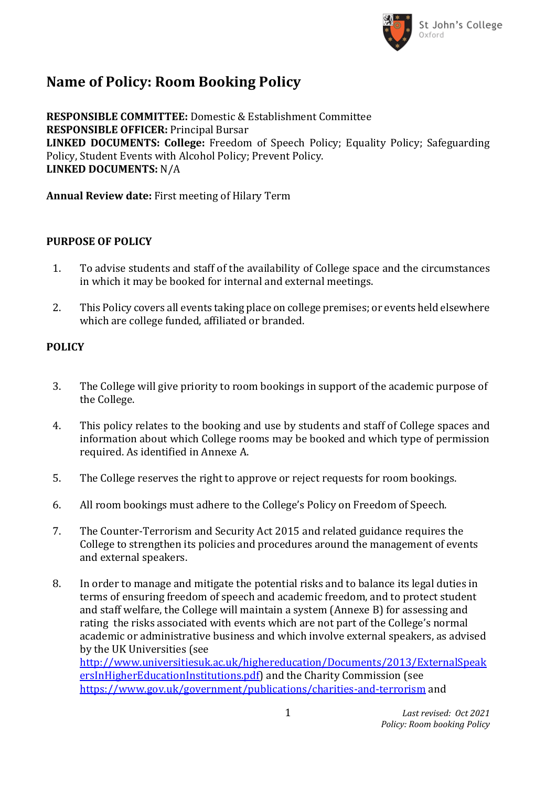

## **Name of Policy: Room Booking Policy**

**RESPONSIBLE COMMITTEE:** Domestic & Establishment Committee **RESPONSIBLE OFFICER:** Principal Bursar **LINKED DOCUMENTS: College:** Freedom of Speech Policy; Equality Policy; Safeguarding Policy, Student Events with Alcohol Policy; Prevent Policy. **LINKED DOCUMENTS:** N/A

**Annual Review date:** First meeting of Hilary Term

### **PURPOSE OF POLICY**

- 1. To advise students and staff of the availability of College space and the circumstances in which it may be booked for internal and external meetings.
- 2. This Policy covers all events taking place on college premises; or events held elsewhere which are college funded, affiliated or branded.

## **POLICY**

- 3. The College will give priority to room bookings in support of the academic purpose of the College.
- 4. This policy relates to the booking and use by students and staff of College spaces and information about which College rooms may be booked and which type of permission required. As identified in Annexe A.
- 5. The College reserves the right to approve or reject requests for room bookings.
- 6. All room bookings must adhere to the College's Policy on Freedom of Speech.
- 7. The Counter-Terrorism and Security Act 2015 and related guidance requires the College to strengthen its policies and procedures around the management of events and external speakers.
- 8. In order to manage and mitigate the potential risks and to balance its legal duties in terms of ensuring freedom of speech and academic freedom, and to protect student and staff welfare, the College will maintain a system (Annexe B) for assessing and rating the risks associated with events which are not part of the College's normal academic or administrative business and which involve external speakers, as advised by the UK Universities (see [http://www.universitiesuk.ac.uk/highereducation/Documents/2013/ExternalSpeak](http://www.universitiesuk.ac.uk/highereducation/Documents/2013/ExternalSpeakersInHigherEducationInstitutions.pdf)

[ersInHigherEducationInstitutions.pdf\)](http://www.universitiesuk.ac.uk/highereducation/Documents/2013/ExternalSpeakersInHigherEducationInstitutions.pdf) and the Charity Commission (see <https://www.gov.uk/government/publications/charities-and-terrorism> and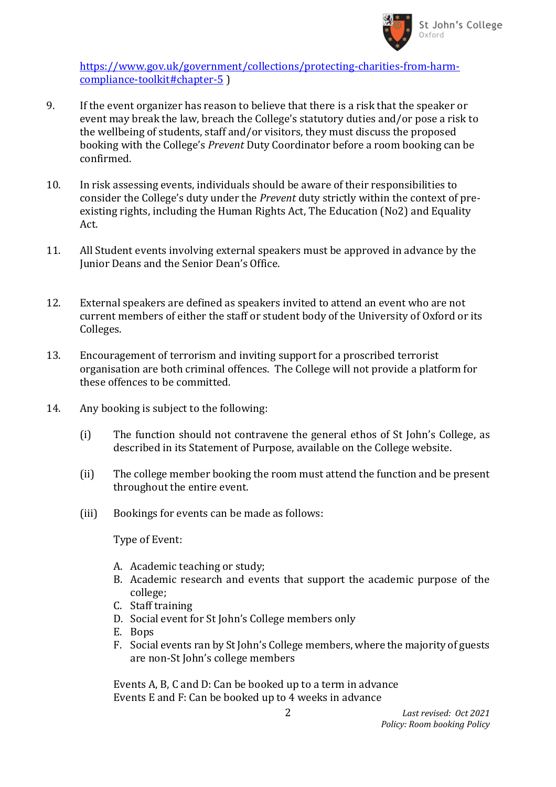

[https://www.gov.uk/government/collections/protecting-charities-from-harm](https://www.gov.uk/government/collections/protecting-charities-from-harm-compliance-toolkit#chapter-5)[compliance-toolkit#chapter-5](https://www.gov.uk/government/collections/protecting-charities-from-harm-compliance-toolkit#chapter-5) )

- 9. If the event organizer has reason to believe that there is a risk that the speaker or event may break the law, breach the College's statutory duties and/or pose a risk to the wellbeing of students, staff and/or visitors, they must discuss the proposed booking with the College's *Prevent* Duty Coordinator before a room booking can be confirmed.
- 10. In risk assessing events, individuals should be aware of their responsibilities to consider the College's duty under the *Prevent* duty strictly within the context of preexisting rights, including the Human Rights Act, The Education (No2) and Equality Act.
- 11. All Student events involving external speakers must be approved in advance by the Junior Deans and the Senior Dean's Office.
- 12. External speakers are defined as speakers invited to attend an event who are not current members of either the staff or student body of the University of Oxford or its Colleges.
- 13. Encouragement of terrorism and inviting support for a proscribed terrorist organisation are both criminal offences. The College will not provide a platform for these offences to be committed.
- 14. Any booking is subject to the following:
	- (i) The function should not contravene the general ethos of St John's College, as described in its Statement of Purpose, available on the College website.
	- (ii) The college member booking the room must attend the function and be present throughout the entire event.
	- (iii) Bookings for events can be made as follows:

Type of Event:

- A. Academic teaching or study;
- B. Academic research and events that support the academic purpose of the college;
- C. Staff training
- D. Social event for St John's College members only
- E. Bops
- F. Social events ran by St John's College members, where the majority of guests are non-St John's college members

Events A, B, C and D: Can be booked up to a term in advance Events E and F: Can be booked up to 4 weeks in advance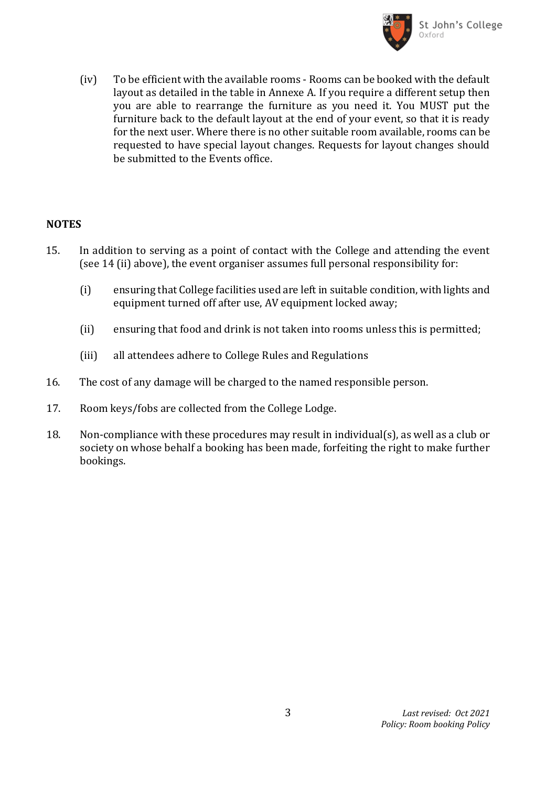

(iv) To be efficient with the available rooms - Rooms can be booked with the default layout as detailed in the table in Annexe A. If you require a different setup then you are able to rearrange the furniture as you need it. You MUST put the furniture back to the default layout at the end of your event, so that it is ready for the next user. Where there is no other suitable room available, rooms can be requested to have special layout changes. Requests for layout changes should be submitted to the Events office.

#### **NOTES**

- 15. In addition to serving as a point of contact with the College and attending the event (see 14 (ii) above), the event organiser assumes full personal responsibility for:
	- (i) ensuring that College facilities used are left in suitable condition, with lights and equipment turned off after use, AV equipment locked away;
	- (ii) ensuring that food and drink is not taken into rooms unless this is permitted;
	- (iii) all attendees adhere to College Rules and Regulations
- 16. The cost of any damage will be charged to the named responsible person.
- 17. Room keys/fobs are collected from the College Lodge.
- 18. Non-compliance with these procedures may result in individual(s), as well as a club or society on whose behalf a booking has been made, forfeiting the right to make further bookings.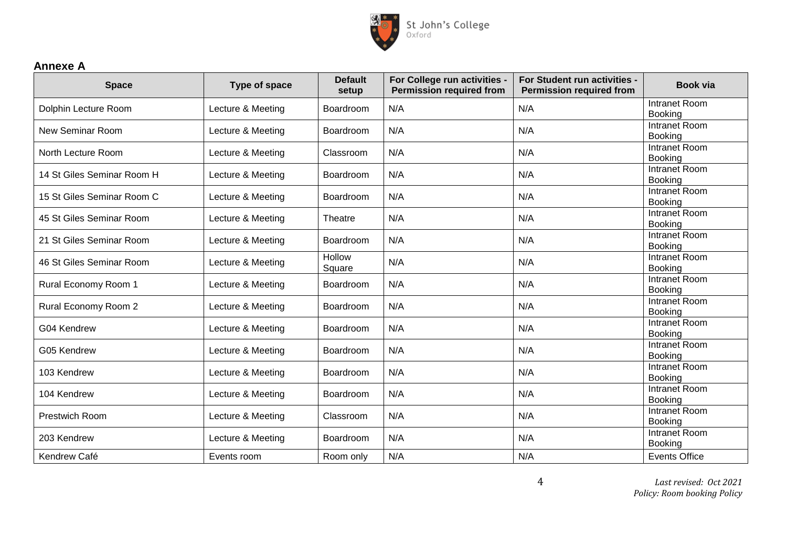

## **Annexe A**

| <b>Space</b>               | Type of space     | <b>Default</b><br>setup | For College run activities -<br><b>Permission required from</b> | <b>For Student run activities -</b><br><b>Permission required from</b> | Book via                               |
|----------------------------|-------------------|-------------------------|-----------------------------------------------------------------|------------------------------------------------------------------------|----------------------------------------|
| Dolphin Lecture Room       | Lecture & Meeting | Boardroom               | N/A                                                             | N/A                                                                    | Intranet Room<br>Booking               |
| <b>New Seminar Room</b>    | Lecture & Meeting | Boardroom               | N/A                                                             | N/A                                                                    | Intranet Room<br>Booking               |
| North Lecture Room         | Lecture & Meeting | Classroom               | N/A                                                             | N/A                                                                    | <b>Intranet Room</b><br>Booking        |
| 14 St Giles Seminar Room H | Lecture & Meeting | Boardroom               | N/A                                                             | N/A                                                                    | Intranet Room<br>Booking               |
| 15 St Giles Seminar Room C | Lecture & Meeting | Boardroom               | N/A                                                             | N/A                                                                    | Intranet Room<br><b>Booking</b>        |
| 45 St Giles Seminar Room   | Lecture & Meeting | Theatre                 | N/A                                                             | N/A                                                                    | Intranet Room<br>Booking               |
| 21 St Giles Seminar Room   | Lecture & Meeting | Boardroom               | N/A                                                             | N/A                                                                    | Intranet Room<br><b>Booking</b>        |
| 46 St Giles Seminar Room   | Lecture & Meeting | <b>Hollow</b><br>Square | N/A                                                             | N/A                                                                    | <b>Intranet Room</b><br>Booking        |
| Rural Economy Room 1       | Lecture & Meeting | Boardroom               | N/A                                                             | N/A                                                                    | <b>Intranet Room</b><br><b>Booking</b> |
| Rural Economy Room 2       | Lecture & Meeting | Boardroom               | N/A                                                             | N/A                                                                    | Intranet Room<br>Booking               |
| G04 Kendrew                | Lecture & Meeting | Boardroom               | N/A                                                             | N/A                                                                    | <b>Intranet Room</b><br>Booking        |
| G05 Kendrew                | Lecture & Meeting | Boardroom               | N/A                                                             | N/A                                                                    | Intranet Room<br>Booking               |
| 103 Kendrew                | Lecture & Meeting | Boardroom               | N/A                                                             | N/A                                                                    | Intranet Room<br>Booking               |
| 104 Kendrew                | Lecture & Meeting | Boardroom               | N/A                                                             | N/A                                                                    | <b>Intranet Room</b><br><b>Booking</b> |
| Prestwich Room             | Lecture & Meeting | Classroom               | N/A                                                             | N/A                                                                    | Intranet Room<br>Booking               |
| 203 Kendrew                | Lecture & Meeting | Boardroom               | N/A                                                             | N/A                                                                    | Intranet Room<br>Booking               |
| Kendrew Café               | Events room       | Room only               | N/A                                                             | N/A                                                                    | <b>Events Office</b>                   |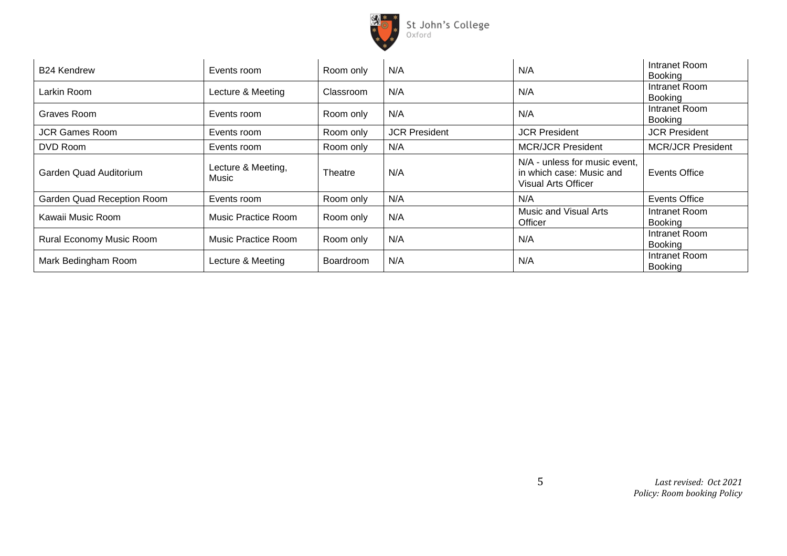

| <b>B24 Kendrew</b>         | Events room                 | Room only | N/A                  | N/A                                                                                     | Intranet Room<br>Booking        |
|----------------------------|-----------------------------|-----------|----------------------|-----------------------------------------------------------------------------------------|---------------------------------|
| Larkin Room                | Lecture & Meeting           | Classroom | N/A                  | N/A                                                                                     | Intranet Room<br>Booking        |
| Graves Room                | Events room                 | Room only | N/A                  | N/A                                                                                     | Intranet Room<br>Booking        |
| <b>JCR Games Room</b>      | Events room                 | Room only | <b>JCR President</b> | <b>JCR President</b>                                                                    | <b>JCR President</b>            |
| DVD Room                   | Events room                 | Room only | N/A                  | <b>MCR/JCR President</b>                                                                | <b>MCR/JCR President</b>        |
| Garden Quad Auditorium     | Lecture & Meeting,<br>Music | Theatre   | N/A                  | N/A - unless for music event,<br>in which case: Music and<br><b>Visual Arts Officer</b> | <b>Events Office</b>            |
| Garden Quad Reception Room | Events room                 | Room only | N/A                  | N/A                                                                                     | Events Office                   |
| Kawaii Music Room          | Music Practice Room         | Room only | N/A                  | Music and Visual Arts<br>Officer                                                        | Intranet Room<br>Booking        |
| Rural Economy Music Room   | Music Practice Room         | Room only | N/A                  | N/A                                                                                     | Intranet Room<br>Booking        |
| Mark Bedingham Room        | Lecture & Meeting           | Boardroom | N/A                  | N/A                                                                                     | Intranet Room<br><b>Booking</b> |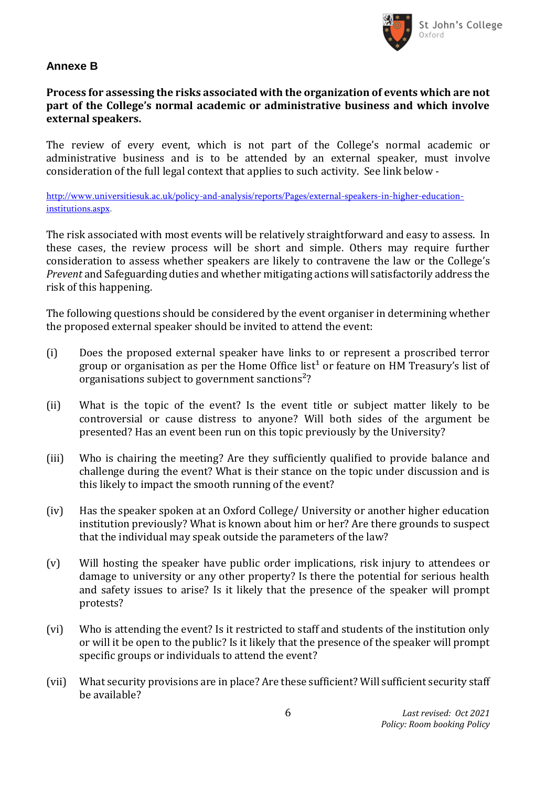

### **Annexe B**

## **Process for assessing the risks associated with the organization of events which are not part of the College's normal academic or administrative business and which involve external speakers.**

The review of every event, which is not part of the College's normal academic or administrative business and is to be attended by an external speaker, must involve consideration of the full legal context that applies to such activity. See link below -

[http://www.universitiesuk.ac.uk/policy-and-analysis/reports/Pages/external-speakers-in-higher-education](http://www.universitiesuk.ac.uk/policy-and-analysis/reports/Pages/external-speakers-in-higher-education-institutions.aspx)[institutions.aspx.](http://www.universitiesuk.ac.uk/policy-and-analysis/reports/Pages/external-speakers-in-higher-education-institutions.aspx)

The risk associated with most events will be relatively straightforward and easy to assess. In these cases, the review process will be short and simple. Others may require further consideration to assess whether speakers are likely to contravene the law or the College's *Prevent* and Safeguarding duties and whether mitigating actions will satisfactorily address the risk of this happening.

The following questions should be considered by the event organiser in determining whether the proposed external speaker should be invited to attend the event:

- (i) Does the proposed external speaker have links to or represent a proscribed terror group or organisation as per the Home Office list<sup>1</sup> or feature on HM Treasury's list of organisations subject to government sanctions<sup>2</sup>?
- (ii) What is the topic of the event? Is the event title or subject matter likely to be controversial or cause distress to anyone? Will both sides of the argument be presented? Has an event been run on this topic previously by the University?
- (iii) Who is chairing the meeting? Are they sufficiently qualified to provide balance and challenge during the event? What is their stance on the topic under discussion and is this likely to impact the smooth running of the event?
- (iv) Has the speaker spoken at an Oxford College/ University or another higher education institution previously? What is known about him or her? Are there grounds to suspect that the individual may speak outside the parameters of the law?
- (v) Will hosting the speaker have public order implications, risk injury to attendees or damage to university or any other property? Is there the potential for serious health and safety issues to arise? Is it likely that the presence of the speaker will prompt protests?
- (vi) Who is attending the event? Is it restricted to staff and students of the institution only or will it be open to the public? Is it likely that the presence of the speaker will prompt specific groups or individuals to attend the event?
- (vii) What security provisions are in place? Are these sufficient? Will sufficient security staff be available?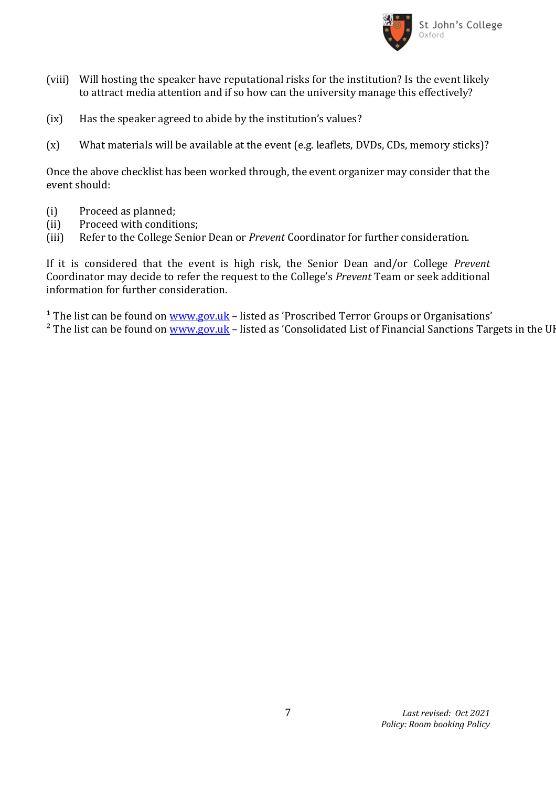

- (viii) Will hosting the speaker have reputational risks for the institution? Is the event likely to attract media attention and if so how can the university manage this effectively?
- (ix) Has the speaker agreed to abide by the institution's values?
- (x) What materials will be available at the event (e.g. leaflets, DVDs, CDs, memory sticks)?

Once the above checklist has been worked through, the event organizer may consider that the event should:

- (i) Proceed as planned;
- (ii) Proceed with conditions;
- (iii) Refer to the College Senior Dean or *Prevent* Coordinator for further consideration.

If it is considered that the event is high risk, the Senior Dean and/or College *Prevent* Coordinator may decide to refer the request to the College's *Prevent* Team or seek additional information for further consideration.

<sup>1</sup> The list can be found on [www.gov.uk](http://www.gov.uk/) - listed as 'Proscribed Terror Groups or Organisations'  $2$  The list can be found on [www.gov.uk](http://www.gov.uk/) – listed as 'Consolidated List of Financial Sanctions Targets in the UI